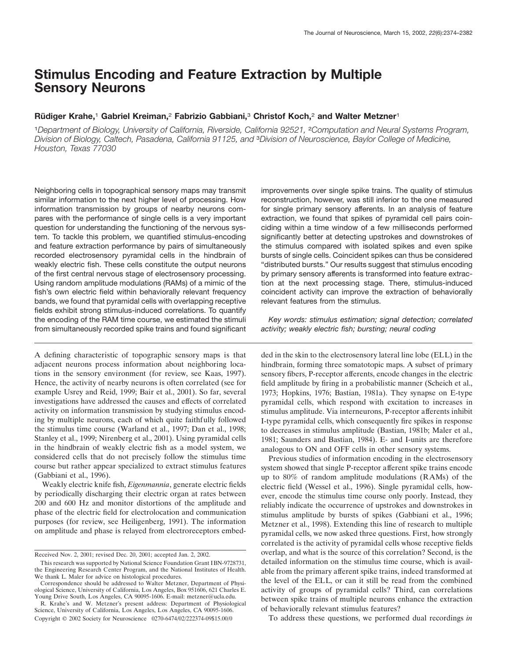# **Stimulus Encoding and Feature Extraction by Multiple Sensory Neurons**

# **Ru¨ diger Krahe,**<sup>1</sup> **Gabriel Kreiman,**<sup>2</sup> **Fabrizio Gabbiani,**<sup>3</sup> **Christof Koch,**<sup>2</sup> **and Walter Metzner**<sup>1</sup>

<sup>1</sup>*Department of Biology, University of California, Riverside, California 92521,* <sup>2</sup>*Computation and Neural Systems Program, Division of Biology, Caltech, Pasadena, California 91125, and* <sup>3</sup>*Division of Neuroscience, Baylor College of Medicine, Houston, Texas 77030*

Neighboring cells in topographical sensory maps may transmit similar information to the next higher level of processing. How information transmission by groups of nearby neurons compares with the performance of single cells is a very important question for understanding the functioning of the nervous system. To tackle this problem, we quantified stimulus-encoding and feature extraction performance by pairs of simultaneously recorded electrosensory pyramidal cells in the hindbrain of weakly electric fish. These cells constitute the output neurons of the first central nervous stage of electrosensory processing. Using random amplitude modulations (RAMs) of a mimic of the fish's own electric field within behaviorally relevant frequency bands, we found that pyramidal cells with overlapping receptive fields exhibit strong stimulus-induced correlations. To quantify the encoding of the RAM time course, we estimated the stimuli from simultaneously recorded spike trains and found significant

A defining characteristic of topographic sensory maps is that adjacent neurons process information about neighboring locations in the sensory environment (for review, see Kaas, 1997). Hence, the activity of nearby neurons is often correlated (see for example Usrey and Reid, 1999; Bair et al., 2001). So far, several investigations have addressed the causes and effects of correlated activity on information transmission by studying stimulus encoding by multiple neurons, each of which quite faithfully followed the stimulus time course (Warland et al., 1997; Dan et al., 1998; Stanley et al., 1999; Nirenberg et al., 2001). Using pyramidal cells in the hindbrain of weakly electric fish as a model system, we considered cells that do not precisely follow the stimulus time course but rather appear specialized to extract stimulus features (Gabbiani et al., 1996).

Weakly electric knife fish, *Eigenmannia*, generate electric fields by periodically discharging their electric organ at rates between 200 and 600 Hz and monitor distortions of the amplitude and phase of the electric field for electrolocation and communication purposes (for review, see Heiligenberg, 1991). The information on amplitude and phase is relayed from electroreceptors embedimprovements over single spike trains. The quality of stimulus reconstruction, however, was still inferior to the one measured for single primary sensory afferents. In an analysis of feature extraction, we found that spikes of pyramidal cell pairs coinciding within a time window of a few milliseconds performed significantly better at detecting upstrokes and downstrokes of the stimulus compared with isolated spikes and even spike bursts of single cells. Coincident spikes can thus be considered "distributed bursts." Our results suggest that stimulus encoding by primary sensory afferents is transformed into feature extraction at the next processing stage. There, stimulus-induced coincident activity can improve the extraction of behaviorally relevant features from the stimulus.

*Key words: stimulus estimation; signal detection; correlated activity; weakly electric fish; bursting; neural coding*

ded in the skin to the electrosensory lateral line lobe (ELL) in the hindbrain, forming three somatotopic maps. A subset of primary sensory fibers, P-receptor afferents, encode changes in the electric field amplitude by firing in a probabilistic manner (Scheich et al., 1973; Hopkins, 1976; Bastian, 1981a). They synapse on E-type pyramidal cells, which respond with excitation to increases in stimulus amplitude. Via interneurons, P-receptor afferents inhibit I-type pyramidal cells, which consequently fire spikes in response to decreases in stimulus amplitude (Bastian, 1981b; Maler et al., 1981; Saunders and Bastian, 1984). E- and I-units are therefore analogous to ON and OFF cells in other sensory systems.

Previous studies of information encoding in the electrosensory system showed that single P-receptor afferent spike trains encode up to 80% of random amplitude modulations (RAMs) of the electric field (Wessel et al., 1996). Single pyramidal cells, however, encode the stimulus time course only poorly. Instead, they reliably indicate the occurrence of upstrokes and downstrokes in stimulus amplitude by bursts of spikes (Gabbiani et al., 1996; Metzner et al., 1998). Extending this line of research to multiple pyramidal cells, we now asked three questions. First, how strongly correlated is the activity of pyramidal cells whose receptive fields overlap, and what is the source of this correlation? Second, is the detailed information on the stimulus time course, which is available from the primary afferent spike trains, indeed transformed at the level of the ELL, or can it still be read from the combined activity of groups of pyramidal cells? Third, can correlations between spike trains of multiple neurons enhance the extraction of behaviorally relevant stimulus features?

To address these questions, we performed dual recordings *in*

Received Nov. 2, 2001; revised Dec. 20, 2001; accepted Jan. 2, 2002.

This research was supported by National Science Foundation Grant IBN-9728731, the Engineering Research Center Program, and the National Institutes of Health. We thank L. Maler for advice on histological procedures.

Correspondence should be addressed to Walter Metzner, Department of Physiological Science, University of California, Los Angeles, Box 951606, 621 Charles E. Young Drive South, Los Angeles, CA 90095-1606. E-mail: metzner@ucla.edu.

R. Krahe's and W. Metzner's present address: Department of Physiological Science, University of California, Los Angeles, Los Angeles, CA 90095-1606. Copyright © 2002 Society for Neuroscience 0270-6474/02/222374-09\$15.00/0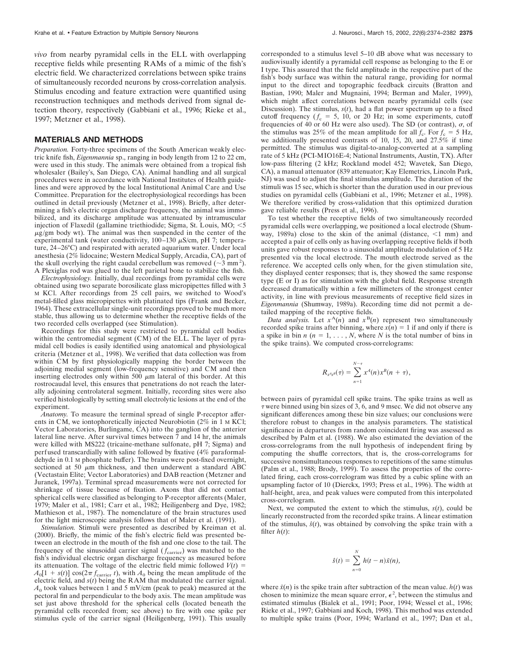*vivo* from nearby pyramidal cells in the ELL with overlapping receptive fields while presenting RAMs of a mimic of the fish's electric field. We characterized correlations between spike trains of simultaneously recorded neurons by cross-correlation analysis. Stimulus encoding and feature extraction were quantified using reconstruction techniques and methods derived from signal detection theory, respectively (Gabbiani et al., 1996; Rieke et al., 1997; Metzner et al., 1998).

# **MATERIALS AND METHODS**

*Preparation.* Forty-three specimens of the South American weakly electric knife fish, *Eigenmannia* sp., ranging in body length from 12 to 22 cm, were used in this study. The animals were obtained from a tropical fish wholesaler (Bailey's, San Diego, CA). Animal handling and all surgical procedures were in accordance with National Institutes of Health guidelines and were approved by the local Institutional Animal Care and Use Committee. Preparation for the electrophysiological recordings has been outlined in detail previously (Metzner et al., 1998). Briefly, after determining a fish's electric organ discharge frequency, the animal was immobilized, and its discharge amplitude was attenuated by intramuscular injection of Flaxedil (gallamine triethiodide; Sigma, St. Louis,  $MO$ ;  $\leq$ 5  $\mu$ g/gm body wt). The animal was then suspended in the center of the experimental tank (water conductivity,  $100-130 \mu\text{S/cm}$ , pH 7; temperature, 24–26°C) and respirated with aerated aquarium water. Under local anesthesia (2% lidocaine; Western Medical Supply, Arcadia, CA), part of the skull overlying the right caudal cerebellum was removed ( $\sim$ 3 mm<sup>2</sup>). A Plexiglas rod was glued to the left parietal bone to stabilize the fish.

*Electrophysiology.* Initially, dual recordings from pyramidal cells were obtained using two separate borosilicate glass micropipettes filled with 3 M KCl. After recordings from 25 cell pairs, we switched to Wood's metal-filled glass micropipettes with platinated tips (Frank and Becker, 1964). These extracellular single-unit recordings proved to be much more stable, thus allowing us to determine whether the receptive fields of the two recorded cells overlapped (see Stimulation).

Recordings for this study were restricted to pyramidal cell bodies within the centromedial segment (CM) of the ELL. The layer of pyramidal cell bodies is easily identified using anatomical and physiological criteria (Metzner et al., 1998). We verified that data collection was from within CM by first physiologically mapping the border between the adjoining medial segment (low-frequency sensitive) and CM and then inserting electrodes only within 500  $\mu$ m lateral of this border. At this rostrocaudal level, this ensures that penetrations do not reach the laterally adjoining centrolateral segment. Initially, recording sites were also verified histologically by setting small electrolytic lesions at the end of the experiment.

*Anatomy.* To measure the terminal spread of single P-receptor afferents in CM, we iontophoretically injected Neurobiotin (2% in 1 M KCl; Vector Laboratories, Burlingame, CA) into the ganglion of the anterior lateral line nerve. After survival times between 7 and 14 hr, the animals were killed with MS222 (tricaine-methane sulfonate, pH 7; Sigma) and perfused transcardially with saline followed by fixative (4% paraformaldehyde in 0.1 M phosphate buffer). The brains were post-fixed overnight, sectioned at 50  $\mu$ m thickness, and then underwent a standard ABC (Vectastain Elite; Vector Laboratories) and DAB reaction (Metzner and Juranek, 1997a). Terminal spread measurements were not corrected for shrinkage of tissue because of fixation. Axons that did not contact spherical cells were classified as belonging to P-receptor afferents (Maler, 1979; Maler et al., 1981; Carr et al., 1982; Heiligenberg and Dye, 1982; Mathieson et al., 1987). The nomenclature of the brain structures used for the light microscopic analysis follows that of Maler et al. (1991).

*Stimulation.* Stimuli were presented as described by Kreiman et al. (2000). Briefly, the mimic of the fish's electric field was presented between an electrode in the mouth of the fish and one close to the tail. The frequency of the sinusoidal carrier signal  $(f<sub>carrier</sub>)$  was matched to the fish's individual electric organ discharge frequency as measured before its attenuation. The voltage of the electric field mimic followed  $V(t)$  =  $A_0[1 + s(t)] \cos(2\pi f_{\text{carrier}} t)$ , with  $A_0$  being the mean amplitude of the electric field, and *s*(*t*) being the RAM that modulated the carrier signal.  $A_0$  took values between 1 and 5 mV/cm (peak to peak) measured at the pectoral fin and perpendicular to the body axis. The mean amplitude was set just above threshold for the spherical cells (located beneath the pyramidal cells recorded from; see above) to fire with one spike per stimulus cycle of the carrier signal (Heiligenberg, 1991). This usually corresponded to a stimulus level 5–10 dB above what was necessary to audiovisually identify a pyramidal cell response as belonging to the E or I type. This assured that the field amplitude in the respective part of the fish's body surface was within the natural range, providing for normal input to the direct and topographic feedback circuits (Bratton and Bastian, 1990; Maler and Mugnaini, 1994; Berman and Maler, 1999), which might affect correlations between nearby pyramidal cells (see Discussion). The stimulus,  $s(t)$ , had a flat power spectrum up to a fixed cutoff frequency  $(f_c = 5, 10, \text{ or } 20 \text{ Hz}$ ; in some experiments, cutoff frequencies of 40 or 60 Hz were also used). The SD (or contrast),  $\sigma$ , of the stimulus was 25% of the mean amplitude for all  $f_c$ . For  $f_c = 5$  Hz, we additionally presented contrasts of 10, 15, 20, and 27.5% if time permitted. The stimulus was digital-to-analog-converted at a sampling rate of 5 kHz (PCI-MIO16E-4; National Instruments, Austin, TX). After low-pass filtering (2 kHz; Rockland model 452; Wavetek, San Diego, CA), a manual attenuator (839 attenuator; Kay Elemetrics, Lincoln Park, NJ) was used to adjust the final stimulus amplitude. The duration of the stimuli was 15 sec, which is shorter than the duration used in our previous studies on pyramidal cells (Gabbiani et al., 1996; Metzner et al., 1998). We therefore verified by cross-validation that this optimized duration gave reliable results (Press et al., 1996).

To test whether the receptive fields of two simultaneously recorded pyramidal cells were overlapping, we positioned a local electrode (Shumway, 1989a) close to the skin of the animal (distance,  $\leq 1$  mm) and accepted a pair of cells only as having overlapping receptive fields if both units gave robust responses to a sinusoidal amplitude modulation of 5 Hz presented via the local electrode. The mouth electrode served as the reference. We accepted cells only when, for the given stimulation site, they displayed center responses; that is, they showed the same response type (E or I) as for stimulation with the global field. Response strength decreased dramatically within a few millimeters of the strongest center activity, in line with previous measurements of receptive field sizes in *Eigenmannia* (Shumway, 1989a). Recording time did not permit a detailed mapping of the receptive fields.

*Data analysis.* Let  $x^A(n)$  and  $x^B(n)$  represent two simultaneously recorded spike trains after binning, where  $x(n) = 1$  if and only if there is a spike in bin  $n (n = 1, \ldots, N$ , where *N* is the total number of bins in the spike trains). We computed cross-correlograms:

$$
R_{x^4x^B}(\tau)=\sum_{n=1}^{N-\tau}x^A(n)x^B(n+\tau),
$$

between pairs of pyramidal cell spike trains. The spike trains as well as  $\tau$  were binned using bin sizes of 3, 6, and 9 msec. We did not observe any significant differences among these bin size values; our conclusions were therefore robust to changes in the analysis parameters. The statistical significance in departures from random coincident firing was assessed as described by Palm et al. (1988). We also estimated the deviation of the cross-correlograms from the null hypothesis of independent firing by computing the shuffle correctors, that is, the cross-correlograms for successive nonsimultaneous responses to repetitions of the same stimulus (Palm et al., 1988; Brody, 1999). To assess the properties of the correlated firing, each cross-correlogram was fitted by a cubic spline with an upsampling factor of 10 (Dierckx, 1993; Press et al., 1996). The width at half-height, area, and peak values were computed from this interpolated cross-correlogram.

Next, we computed the extent to which the stimulus,  $s(t)$ , could be linearly reconstructed from the recorded spike trains. A linear estimation of the stimulus,  $\hat{s}(t)$ , was obtained by convolving the spike train with a filter  $h(t)$ :

$$
\hat{s}(t) = \sum_{n=0}^{N} h(t-n)\tilde{x}(n),
$$

where  $\tilde{x}(n)$  is the spike train after subtraction of the mean value.  $h(t)$  was chosen to minimize the mean square error,  $\epsilon^2$ , between the stimulus and estimated stimulus (Bialek et al., 1991; Poor, 1994; Wessel et al., 1996; Rieke et al., 1997; Gabbiani and Koch, 1998). This method was extended to multiple spike trains (Poor, 1994; Warland et al., 1997; Dan et al.,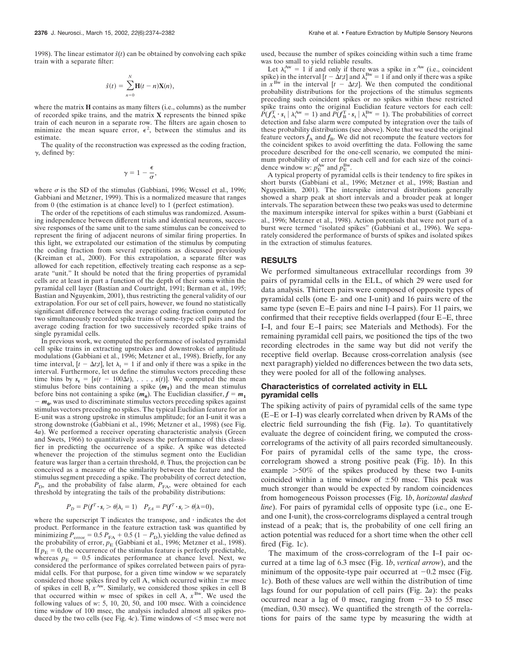1998). The linear estimator  $\hat{s}(t)$  can be obtained by convolving each spike train with a separate filter:

$$
\hat{s}(t) = \sum_{n=0}^{N} \mathbf{H}(t - n)\mathbf{X}(n),
$$

where the matrix **H** contains as many filters (i.e., columns) as the number of recorded spike trains, and the matrix **X** represents the binned spike train of each neuron in a separate row. The filters are again chosen to minimize the mean square error,  $\epsilon^2$ , between the stimulus and its estimate.

The quality of the reconstruction was expressed as the coding fraction,  $\gamma$ , defined by:

$$
\gamma = 1 - \frac{\epsilon}{\sigma},
$$

where  $\sigma$  is the SD of the stimulus (Gabbiani, 1996; Wessel et al., 1996; Gabbiani and Metzner, 1999). This is a normalized measure that ranges from 0 (the estimation is at chance level) to 1 (perfect estimation).

The order of the repetitions of each stimulus was randomized. Assuming independence between different trials and identical neurons, successive responses of the same unit to the same stimulus can be conceived to represent the firing of adjacent neurons of similar firing properties. In this light, we extrapolated our estimation of the stimulus by computing the coding fraction from several repetitions as discussed previously (Kreiman et al., 2000). For this extrapolation, a separate filter was allowed for each repetition, effectively treating each response as a separate "unit." It should be noted that the firing properties of pyramidal cells are at least in part a function of the depth of their soma within the pyramidal cell layer (Bastian and Courtright, 1991; Berman et al., 1995; Bastian and Nguyenkim, 2001), thus restricting the general validity of our extrapolation. For our set of cell pairs, however, we found no statistically significant difference between the average coding fraction computed for two simultaneously recorded spike trains of same-type cell pairs and the average coding fraction for two successively recorded spike trains of single pyramidal cells.

In previous work, we computed the performance of isolated pyramidal cell spike trains in extracting upstrokes and downstrokes of amplitude modulations (Gabbiani et al., 1996; Metzner et al., 1998). Briefly, for any time interval,  $[t - \Delta t; t]$ , let  $\lambda_t = 1$  if and only if there was a spike in the interval. Furthermore, let us define the stimulus vectors preceding these time bins by  $s_t = [s(t - 100\Delta t), \ldots, s(t)]$ . We computed the mean stimulus before bins containing a spike  $(m_1)$  and the mean stimulus before bins not containing a spike  $(m_0)$ . The Euclidian classifier,  $f = m_1$  $-m_0$ , was used to discriminate stimulus vectors preceding spikes against stimulus vectors preceding no spikes. The typical Euclidian feature for an E-unit was a strong upstroke in stimulus amplitude; for an I-unit it was a strong downstroke (Gabbiani et al., 1996; Metzner et al., 1998) (see Fig. 4*a*). We performed a receiver operating characteristic analysis (Green and Swets, 1966) to quantitatively assess the performance of this classifier in predicting the occurrence of a spike. A spike was detected whenever the projection of the stimulus segment onto the Euclidian feature was larger than a certain threshold,  $\theta$ . Thus, the projection can be conceived as a measure of the similarity between the feature and the stimulus segment preceding a spike. The probability of correct detection,  $P_{\rm D}$ , and the probability of false alarm,  $P_{\rm FA}$ , were obtained for each threshold by integrating the tails of the probability distributions:

$$
P_D = P(f^T \cdot s_t > \theta | \lambda_t = 1) \quad P_{FA} = P(f^T \cdot s_t > \theta | \lambda = 0),
$$

where the superscript  $T$  indicates the transpose, and  $\cdot$  indicates the dot product. Performance in the feature extraction task was quantified by minimizing  $P_{\text{error}} = 0.5 P_{\text{FA}} + 0.5 (1 - P_{\text{D}})$ , yielding the value defined as the probability of error,  $p_E$  (Gabbiani et al., 1996; Metzner et al., 1998). If  $p_E = 0$ , the occurrence of the stimulus feature is perfectly predictable, whereas  $p_E = 0.5$  indicates performance at chance level. Next, we considered the performance of spikes correlated between pairs of pyramidal cells. For that purpose, for a given time window *w* we separately considered those spikes fired by cell A, which occurred within  $\pm w$  msec of spikes in cell B,  $x^{Aw}$ . Similarly, we considered those spikes in cell B that occurred within *w* msec of spikes in cell A,  $x^{Bw}$ . We used the following values of *w*: 5, 10, 20, 50, and 100 msec. With a coincidence time window of 100 msec, the analysis included almost all spikes produced by the two cells (see Fig. 4*c*). Time windows of  $\leq$ 5 msec were not used, because the number of spikes coinciding within such a time frame was too small to yield reliable results.

Let  $\lambda_t^{\text{Aw}} = 1$  if and only if there was a spike in  $x^{\text{Aw}}$  (i.e., coincident spike) in the interval  $[t - \Delta t; t]$  and  $\lambda_t^{Bw} = 1$  if and only if there was a spike in  $x^{\text{Bw}}$  in the interval  $[t - \Delta t; t]$ . We then computed the conditional probability distributions for the projections of the stimulus segments preceding such coincident spikes or no spikes within these restricted spike trains onto the original Euclidian feature vectors for each cell:  $\tilde{P}(f_A^T \cdot s_t | \lambda_t^{Aw} = 1)$  and  $\tilde{P}(f_B^T \cdot s_t | \lambda_t^{Bw} = 1)$ . The probabilities of correct detection and false alarm were computed by integration over the tails of these probability distributions (see above). Note that we used the original feature vectors  $f_A$  and  $f_B$ . We did not recompute the feature vectors for the coincident spikes to avoid overfitting the data. Following the same procedure described for the one-cell scenario, we computed the minimum probability of error for each cell and for each size of the coincidence window *w*:  $p_{\rm E}^{\rm Aw}$  and  $p_{\rm E}^{\rm Bw}$ .

A typical property of pyramidal cells is their tendency to fire spikes in short bursts (Gabbiani et al., 1996; Metzner et al., 1998; Bastian and Nguyenkim, 2001). The interspike interval distributions generally showed a sharp peak at short intervals and a broader peak at longer intervals. The separation between these two peaks was used to determine the maximum interspike interval for spikes within a burst (Gabbiani et al., 1996; Metzner et al., 1998). Action potentials that were not part of a burst were termed "isolated spikes" (Gabbiani et al., 1996). We separately considered the performance of bursts of spikes and isolated spikes in the extraction of stimulus features.

# **RESULTS**

We performed simultaneous extracellular recordings from 39 pairs of pyramidal cells in the ELL, of which 29 were used for data analysis. Thirteen pairs were composed of opposite types of pyramidal cells (one E- and one I-unit) and 16 pairs were of the same type (seven E–E pairs and nine I–I pairs). For 11 pairs, we confirmed that their receptive fields overlapped (four E–E, three I–I, and four E–I pairs; see Materials and Methods). For the remaining pyramidal cell pairs, we positioned the tips of the two recording electrodes in the same way but did not verify the receptive field overlap. Because cross-correlation analysis (see next paragraph) yielded no differences between the two data sets, they were pooled for all of the following analyses.

# **Characteristics of correlated activity in ELL pyramidal cells**

The spiking activity of pairs of pyramidal cells of the same type (E–E or I–I) was clearly correlated when driven by RAMs of the electric field surrounding the fish (Fig. 1*a*). To quantitatively evaluate the degree of coincident firing, we computed the crosscorrelograms of the activity of all pairs recorded simultaneously. For pairs of pyramidal cells of the same type, the crosscorrelogram showed a strong positive peak (Fig. 1*b*). In this example 50% of the spikes produced by these two I-units coincided within a time window of  $\pm 50$  msec. This peak was much stronger than would be expected by random coincidences from homogeneous Poisson processes (Fig. 1*b*, *horizontal dashed line*). For pairs of pyramidal cells of opposite type (i.e., one Eand one I-unit), the cross-correlograms displayed a central trough instead of a peak; that is, the probability of one cell firing an action potential was reduced for a short time when the other cell fired (Fig. 1*c*).

The maximum of the cross-correlogram of the I–I pair occurred at a time lag of 6.3 msec (Fig. 1*b*, *vertical arrow*), and the minimum of the opposite-type pair occurred at  $-0.2$  msec (Fig. 1*c*). Both of these values are well within the distribution of time lags found for our population of cell pairs (Fig. 2*a*): the peaks occurred near a lag of 0 msec, ranging from  $-33$  to 55 msec (median, 0.30 msec). We quantified the strength of the correlations for pairs of the same type by measuring the width at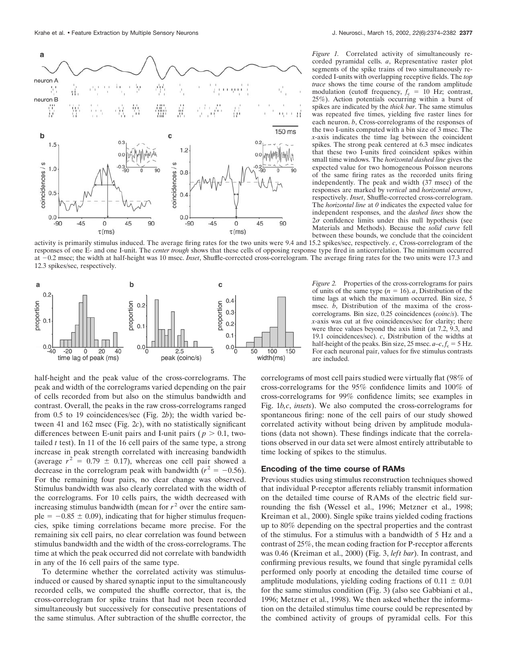

independent responses, and the *dashed lines* show the  $2\sigma$  confidence limits under this null hypothesis (see Materials and Methods). Because the *solid curve* fell

*Figure 1.* Correlated activity of simultaneously recorded pyramidal cells. *a*, Representative raster plot segments of the spike trains of two simultaneously recorded I-units with overlapping receptive fields. The *top trace* shows the time course of the random amplitude modulation (cutoff frequency,  $f_c = 10$  Hz; contrast, 25%). Action potentials occurring within a burst of spikes are indicated by the *thick bar*. The same stimulus was repeated five times, yielding five raster lines for each neuron. *b*, Cross-correlograms of the responses of the two I-units computed with a bin size of 3 msec. The *x*-axis indicates the time lag between the coincident spikes. The strong peak centered at 6.3 msec indicates that these two I-units fired coincident spikes within small time windows. The *horizontal dashed line* gives the expected value for two homogeneous Poisson neurons of the same firing rates as the recorded units firing independently. The peak and width (37 msec) of the responses are marked by *vertical* and *horizontal arrows*, respectively. *Inset*, Shuffle-corrected cross-correlogram. The *horizontal line* at *0* indicates the expected value for between these bounds, we conclude that the coincident

activity is primarily stimulus induced. The average firing rates for the two units were 9.4 and 15.2 spikes/sec, respectively. *c*, Cross-correlogram of the responses of one E- and one I-unit. The *center trough* shows that these cells of opposing response type fired in anticorrelation. The minimum occurred at 0.2 msec; the width at half-height was 10 msec. *Inset*, Shuffle-corrected cross-correlogram. The average firing rates for the two units were 17.3 and 12.3 spikes/sec, respectively.



half-height and the peak value of the cross-correlograms. The peak and width of the correlograms varied depending on the pair of cells recorded from but also on the stimulus bandwidth and contrast. Overall, the peaks in the raw cross-correlograms ranged from 0.5 to 19 coincidences/sec (Fig. 2*b*); the width varied between 41 and 162 msec (Fig. 2*c*), with no statistically significant differences between E-unit pairs and I-unit pairs ( $p > 0.1$ , twotailed *t* test). In 11 of the 16 cell pairs of the same type, a strong increase in peak strength correlated with increasing bandwidth (average  $r^2 = 0.79 \pm 0.17$ ), whereas one cell pair showed a decrease in the correlogram peak with bandwidth  $(r^2 = -0.56)$ . For the remaining four pairs, no clear change was observed. Stimulus bandwidth was also clearly correlated with the width of the correlograms. For 10 cells pairs, the width decreased with increasing stimulus bandwidth (mean for  $r<sup>2</sup>$  over the entire sample  $= -0.85 \pm 0.09$ , indicating that for higher stimulus frequencies, spike timing correlations became more precise. For the remaining six cell pairs, no clear correlation was found between stimulus bandwidth and the width of the cross-correlograms. The time at which the peak occurred did not correlate with bandwidth in any of the 16 cell pairs of the same type.

To determine whether the correlated activity was stimulusinduced or caused by shared synaptic input to the simultaneously recorded cells, we computed the shuffle corrector, that is, the cross-correlogram for spike trains that had not been recorded simultaneously but successively for consecutive presentations of the same stimulus. After subtraction of the shuffle corrector, the

*Figure 2.* Properties of the cross-correlograms for pairs of units of the same type  $(n = 16)$ . *a*, Distribution of the time lags at which the maximum occurred. Bin size, 5 msec. *b*, Distribution of the maxima of the crosscorrelograms. Bin size, 0.25 coincidences (*coinc/s*). The *x*-axis was cut at five coincidences/sec for clarity; there were three values beyond the axis limit (at 7.2, 9.3, and 19.1 coincidences/sec). *c*, Distribution of the widths at half-height of the peaks. Bin size, 25 msec.  $a-c, f_c = 5$  Hz. For each neuronal pair, values for five stimulus contrasts are included.

correlograms of most cell pairs studied were virtually flat (98% of cross-correlograms for the 95% confidence limits and 100% of cross-correlograms for 99% confidence limits; see examples in Fig. 1*b,c*, *insets*). We also computed the cross-correlograms for spontaneous firing: none of the cell pairs of our study showed correlated activity without being driven by amplitude modulations (data not shown). These findings indicate that the correlations observed in our data set were almost entirely attributable to time locking of spikes to the stimulus.

## **Encoding of the time course of RAMs**

Previous studies using stimulus reconstruction techniques showed that individual P-receptor afferents reliably transmit information on the detailed time course of RAMs of the electric field surrounding the fish (Wessel et al., 1996; Metzner et al., 1998; Kreiman et al., 2000). Single spike trains yielded coding fractions up to 80% depending on the spectral properties and the contrast of the stimulus. For a stimulus with a bandwidth of 5 Hz and a contrast of 25%, the mean coding fraction for P-receptor afferents was 0.46 (Kreiman et al., 2000) (Fig. 3, *left bar*). In contrast, and confirming previous results, we found that single pyramidal cells performed only poorly at encoding the detailed time course of amplitude modulations, yielding coding fractions of  $0.11 \pm 0.01$ for the same stimulus condition (Fig. 3) (also see Gabbiani et al., 1996; Metzner et al., 1998). We then asked whether the information on the detailed stimulus time course could be represented by the combined activity of groups of pyramidal cells. For this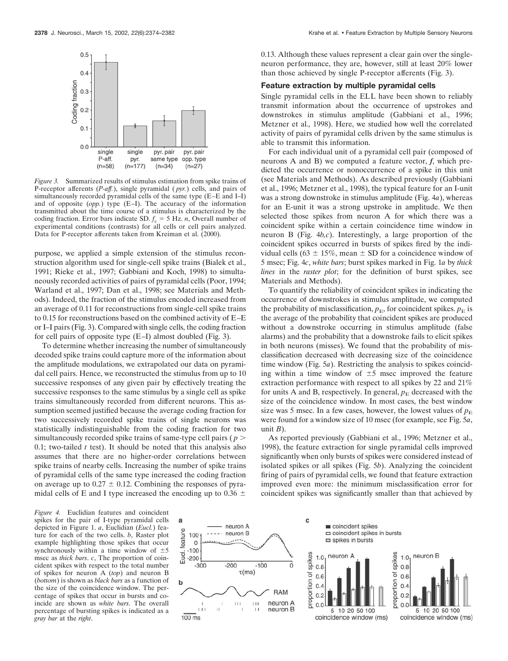

*Figure 3.* Summarized results of stimulus estimation from spike trains of P-receptor afferents (*P-aff.*), single pyramidal ( *pyr.*) cells, and pairs of simultaneously recorded pyramidal cells of the same type (E–E and I–I) and of opposite (*opp.*) type (E–I). The accuracy of the information transmitted about the time course of a stimulus is characterized by the coding fraction. Error bars indicate SD.  $f_c = 5$  Hz. *n*, Overall number of experimental conditions (contrasts) for all cells or cell pairs analyzed. Data for P-receptor afferents taken from Kreiman et al. (2000).

purpose, we applied a simple extension of the stimulus reconstruction algorithm used for single-cell spike trains (Bialek et al., 1991; Rieke et al., 1997; Gabbiani and Koch, 1998) to simultaneously recorded activities of pairs of pyramidal cells (Poor, 1994; Warland et al., 1997; Dan et al., 1998; see Materials and Methods). Indeed, the fraction of the stimulus encoded increased from an average of 0.11 for reconstructions from single-cell spike trains to 0.15 for reconstructions based on the combined activity of E–E or I–I pairs (Fig. 3). Compared with single cells, the coding fraction for cell pairs of opposite type (E–I) almost doubled (Fig. 3).

To determine whether increasing the number of simultaneously decoded spike trains could capture more of the information about the amplitude modulations, we extrapolated our data on pyramidal cell pairs. Hence, we reconstructed the stimulus from up to 10 successive responses of any given pair by effectively treating the successive responses to the same stimulus by a single cell as spike trains simultaneously recorded from different neurons. This assumption seemed justified because the average coding fraction for two successively recorded spike trains of single neurons was statistically indistinguishable from the coding fraction for two simultaneously recorded spike trains of same-type cell pairs ( *p* 0.1; two-tailed *t* test). It should be noted that this analysis also assumes that there are no higher-order correlations between spike trains of nearby cells. Increasing the number of spike trains of pyramidal cells of the same type increased the coding fraction on average up to  $0.27 \pm 0.12$ . Combining the responses of pyramidal cells of E and I type increased the encoding up to 0.36  $\pm$ 

*Figure 4.* Euclidian features and coincident spikes for the pair of I-type pyramidal cells depicted in Figure 1. *a*, Euclidian (*Eucl.*) feature for each of the two cells. *b*, Raster plot example highlighting those spikes that occur synchronously within a time window of  $\pm 5$ msec as *thick bars*. *c*, The proportion of coincident spikes with respect to the total number of spikes for neuron A (*top*) and neuron B (*bottom*) is shown as *black bars* as a function of the size of the coincidence window. The percentage of spikes that occur in bursts and coincide are shown as *white bars*. The overall percentage of bursting spikes is indicated as a *gray bar* at the *right*.



0.13. Although these values represent a clear gain over the singleneuron performance, they are, however, still at least 20% lower than those achieved by single P-receptor afferents (Fig. 3).

# **Feature extraction by multiple pyramidal cells**

Single pyramidal cells in the ELL have been shown to reliably transmit information about the occurrence of upstrokes and downstrokes in stimulus amplitude (Gabbiani et al., 1996; Metzner et al., 1998). Here, we studied how well the correlated activity of pairs of pyramidal cells driven by the same stimulus is able to transmit this information.

For each individual unit of a pyramidal cell pair (composed of neurons A and B) we computed a feature vector, *f*, which predicted the occurrence or nonoccurrence of a spike in this unit (see Materials and Methods). As described previously (Gabbiani et al., 1996; Metzner et al., 1998), the typical feature for an I-unit was a strong downstroke in stimulus amplitude (Fig. 4*a*), whereas for an E-unit it was a strong upstroke in amplitude. We then selected those spikes from neuron A for which there was a coincident spike within a certain coincidence time window in neuron B (Fig. 4*b,c*). Interestingly, a large proportion of the coincident spikes occurred in bursts of spikes fired by the individual cells (63  $\pm$  15%, mean  $\pm$  SD for a coincidence window of 5 msec; Fig. 4*c*, *white bars*; burst spikes marked in Fig. 1*a* by *thick lines* in the *raster plot*; for the definition of burst spikes, see Materials and Methods).

To quantify the reliability of coincident spikes in indicating the occurrence of downstrokes in stimulus amplitude, we computed the probability of misclassification,  $p_E$ , for coincident spikes.  $p_E$  is the average of the probability that coincident spikes are produced without a downstroke occurring in stimulus amplitude (false alarms) and the probability that a downstroke fails to elicit spikes in both neurons (misses). We found that the probability of misclassification decreased with decreasing size of the coincidence time window (Fig. 5*a*). Restricting the analysis to spikes coinciding within a time window of  $\pm 5$  msec improved the feature extraction performance with respect to all spikes by 22 and 21% for units A and B, respectively. In general,  $p_E$  decreased with the size of the coincidence window. In most cases, the best window size was 5 msec. In a few cases, however, the lowest values of  $p_E$ were found for a window size of 10 msec (for example, see Fig. 5*a*, unit  $B$ ).

As reported previously (Gabbiani et al., 1996; Metzner et al., 1998), the feature extraction for single pyramidal cells improved significantly when only bursts of spikes were considered instead of isolated spikes or all spikes (Fig. 5*b*). Analyzing the coincident firing of pairs of pyramidal cells, we found that feature extraction improved even more: the minimum misclassification error for coincident spikes was significantly smaller than that achieved by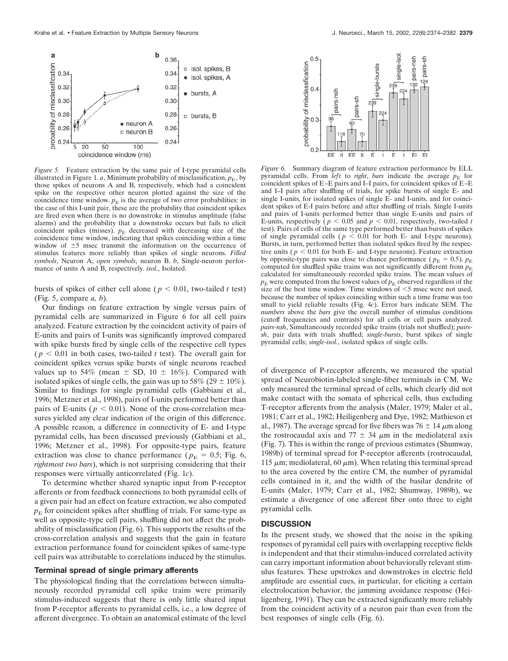

*Figure 5.* Feature extraction by the same pair of I-type pyramidal cells illustrated in Figure 1. *a*, Minimum probability of misclassification,  $p_E$ , by those spikes of neurons A and B, respectively, which had a coincident spike on the respective other neuron plotted against the size of the coincidence time window.  $p<sub>E</sub>$  is the average of two error probabilities: in the case of this I-unit pair, these are the probability that coincident spikes are fired even when there is no downstroke in stimulus amplitude (false alarms) and the probability that a downstroke occurs but fails to elicit coincident spikes (misses).  $p<sub>E</sub>$  decreased with decreasing size of the coincidence time window, indicating that spikes coinciding within a time window of  $\pm 5$  msec transmit the information on the occurrence of stimulus features more reliably than spikes of single neurons. *Filled symbols*, Neuron A; *open symbols*, neuron B. *b*, Single-neuron performance of units A and B, respectively. *isol.*, Isolated.

bursts of spikes of either cell alone ( $p < 0.01$ , two-tailed *t* test) (Fig. 5, compare *a, b*).

Our findings on feature extraction by single versus pairs of pyramidal cells are summarized in Figure 6 for all cell pairs analyzed. Feature extraction by the coincident activity of pairs of E-units and pairs of I-units was significantly improved compared with spike bursts fired by single cells of the respective cell types  $(p < 0.01$  in both cases, two-tailed *t* test). The overall gain for coincident spikes versus spike bursts of single neurons reached values up to 54% (mean  $\pm$  SD, 10  $\pm$  16%). Compared with isolated spikes of single cells, the gain was up to 58% (29  $\pm$  10%). Similar to findings for single pyramidal cells (Gabbiani et al., 1996; Metzner et al., 1998), pairs of I-units performed better than pairs of E-units ( $p < 0.01$ ). None of the cross-correlation measures yielded any clear indication of the origin of this difference. A possible reason, a difference in connectivity of E- and I-type pyramidal cells, has been discussed previously (Gabbiani et al., 1996; Metzner et al., 1998). For opposite-type pairs, feature extraction was close to chance performance ( $p_E = 0.5$ ; Fig. 6, *rightmost two bars*), which is not surprising considering that their responses were virtually anticorrelated (Fig. 1*c*).

To determine whether shared synaptic input from P-receptor afferents or from feedback connections to both pyramidal cells of a given pair had an effect on feature extraction, we also computed  $p<sub>E</sub>$  for coincident spikes after shuffling of trials. For same-type as well as opposite-type cell pairs, shuffling did not affect the probability of misclassification (Fig. 6). This supports the results of the cross-correlation analysis and suggests that the gain in feature extraction performance found for coincident spikes of same-type cell pairs was attributable to correlations induced by the stimulus.

#### **Terminal spread of single primary afferents**

The physiological finding that the correlations between simultaneously recorded pyramidal cell spike trains were primarily stimulus-induced suggests that there is only little shared input from P-receptor afferents to pyramidal cells, i.e., a low degree of afferent divergence. To obtain an anatomical estimate of the level



*Figure 6.* Summary diagram of feature extraction performance by ELL pyramidal cells. From *left* to *right*, *bars* indicate the average  $p<sub>E</sub>$  for coincident spikes of E–E pairs and I–I pairs, for coincident spikes of E–E and I–I pairs after shuffling of trials, for spike bursts of single E- and single I-units, for isolated spikes of single E- and I-units, and for coincident spikes of E-I pairs before and after shuffling of trials. Single I-units and pairs of I-units performed better than single E-units and pairs of E-units, respectively ( $p < 0.05$  and  $p < 0.01$ , respectively, two-tailed *t* test). Pairs of cells of the same type performed better than bursts of spikes of single pyramidal cells ( $p < 0.01$  for both E- and I-type neurons). Bursts, in turn, performed better than isolated spikes fired by the respective units ( $p < 0.01$  for both E- and I-type neurons). Feature extraction by opposite-type pairs was close to chance performance ( $p_E = 0.5$ ).  $p_E$ computed for shuffled spike trains was not significantly different from  $p<sub>E</sub>$ calculated for simultaneously recorded spike trains. The mean values of  $p<sub>E</sub>$  were computed from the lowest values of  $p<sub>E</sub>$  observed regardless of the size of the best time window. Time windows of  $\leq$ 5 msec were not used, because the number of spikes coinciding within such a time frame was too small to yield reliable results (Fig. 4*c*). Error bars indicate SEM. The *numbers* above the *bars* give the overall number of stimulus conditions (cutoff frequencies and contrasts) for all cells or cell pairs analyzed. *pairs-nsh*, Simultaneously recorded spike trains (trials not shuffled); *pairssh*, pair data with trials shuffled; *single-bursts*, burst spikes of single pyramidal cells; *single-isol.*, isolated spikes of single cells.

of divergence of P-receptor afferents, we measured the spatial spread of Neurobiotin-labeled single-fiber terminals in CM. We only measured the terminal spread of cells, which clearly did not make contact with the somata of spherical cells, thus excluding T-receptor afferents from the analysis (Maler, 1979; Maler et al., 1981; Carr et al., 1982; Heiligenberg and Dye, 1982; Mathieson et al., 1987). The average spread for five fibers was  $76 \pm 14 \ \mu m$  along the rostrocaudal axis and 77  $\pm$  34  $\mu$ m in the mediolateral axis (Fig. 7). This is within the range of previous estimates (Shumway, 1989b) of terminal spread for P-receptor afferents (rostrocaudal, 115  $\mu$ m; mediolateral, 60  $\mu$ m). When relating this terminal spread to the area covered by the entire CM, the number of pyramidal cells contained in it, and the width of the basilar dendrite of E-units (Maler, 1979; Carr et al., 1982; Shumway, 1989b), we estimate a divergence of one afferent fiber onto three to eight pyramidal cells.

# **DISCUSSION**

In the present study, we showed that the noise in the spiking responses of pyramidal cell pairs with overlapping receptive fields is independent and that their stimulus-induced correlated activity can carry important information about behaviorally relevant stimulus features. These upstrokes and downstrokes in electric field amplitude are essential cues, in particular, for eliciting a certain electrolocation behavior, the jamming avoidance response (Heiligenberg, 1991). They can be extracted significantly more reliably from the coincident activity of a neuron pair than even from the best responses of single cells (Fig. 6).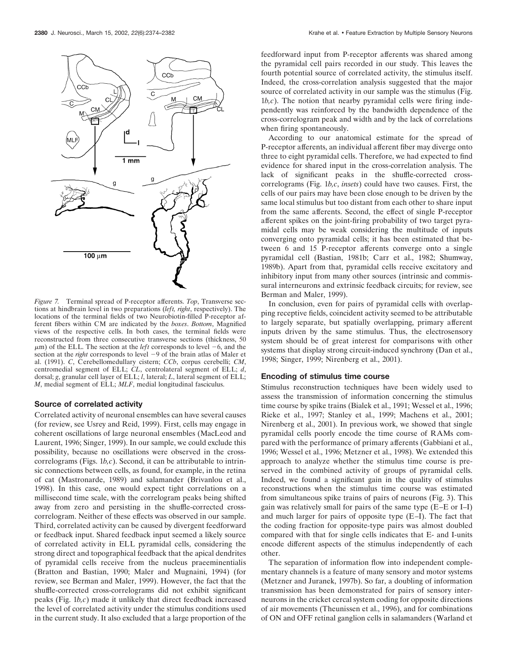

*Figure 7.* Terminal spread of P-receptor afferents. *Top*, Transverse sections at hindbrain level in two preparations (*left, right*, respectively). The locations of the terminal fields of two Neurobiotin-filled P-receptor afferent fibers within CM are indicated by the *boxes*. *Bottom*, Magnified views of the respective cells. In both cases, the terminal fields were reconstructed from three consecutive transverse sections (thickness, 50  $\mu$ m) of the ELL. The section at the *left* corresponds to level  $-6$ , and the section at the *right* corresponds to level  $-9$  of the brain atlas of Maler et al. (1991). *C*, Cerebellomedullary cistern; *CCb*, corpus cerebelli; *CM*, centromedial segment of ELL; *CL*, centrolateral segment of ELL; *d*, dorsal; *g*, granular cell layer of ELL; *l*, lateral; *L*, lateral segment of ELL; *M*, medial segment of ELL; *MLF*, medial longitudinal fasciculus.

## **Source of correlated activity**

Correlated activity of neuronal ensembles can have several causes (for review, see Usrey and Reid, 1999). First, cells may engage in coherent oscillations of large neuronal ensembles (MacLeod and Laurent, 1996; Singer, 1999). In our sample, we could exclude this possibility, because no oscillations were observed in the crosscorrelograms (Figs. 1*b,c*). Second, it can be attributable to intrinsic connections between cells, as found, for example, in the retina of cat (Mastronarde, 1989) and salamander (Brivanlou et al., 1998). In this case, one would expect tight correlations on a millisecond time scale, with the correlogram peaks being shifted away from zero and persisting in the shuffle-corrected crosscorrelogram. Neither of these effects was observed in our sample. Third, correlated activity can be caused by divergent feedforward or feedback input. Shared feedback input seemed a likely source of correlated activity in ELL pyramidal cells, considering the strong direct and topographical feedback that the apical dendrites of pyramidal cells receive from the nucleus praeeminentialis (Bratton and Bastian, 1990; Maler and Mugnaini, 1994) (for review, see Berman and Maler, 1999). However, the fact that the shuffle-corrected cross-correlograms did not exhibit significant peaks (Fig. 1*b,c*) made it unlikely that direct feedback increased the level of correlated activity under the stimulus conditions used in the current study. It also excluded that a large proportion of the

feedforward input from P-receptor afferents was shared among the pyramidal cell pairs recorded in our study. This leaves the fourth potential source of correlated activity, the stimulus itself. Indeed, the cross-correlation analysis suggested that the major source of correlated activity in our sample was the stimulus (Fig.  $1b,c$ ). The notion that nearby pyramidal cells were firing independently was reinforced by the bandwidth dependence of the cross-correlogram peak and width and by the lack of correlations when firing spontaneously.

According to our anatomical estimate for the spread of P-receptor afferents, an individual afferent fiber may diverge onto three to eight pyramidal cells. Therefore, we had expected to find evidence for shared input in the cross-correlation analysis. The lack of significant peaks in the shuffle-corrected crosscorrelograms (Fig. 1*b,c*, *insets*) could have two causes. First, the cells of our pairs may have been close enough to be driven by the same local stimulus but too distant from each other to share input from the same afferents. Second, the effect of single P-receptor afferent spikes on the joint-firing probability of two target pyramidal cells may be weak considering the multitude of inputs converging onto pyramidal cells; it has been estimated that between 6 and 15 P-receptor afferents converge onto a single pyramidal cell (Bastian, 1981b; Carr et al., 1982; Shumway, 1989b). Apart from that, pyramidal cells receive excitatory and inhibitory input from many other sources (intrinsic and commissural interneurons and extrinsic feedback circuits; for review, see Berman and Maler, 1999).

In conclusion, even for pairs of pyramidal cells with overlapping receptive fields, coincident activity seemed to be attributable to largely separate, but spatially overlapping, primary afferent inputs driven by the same stimulus. Thus, the electrosensory system should be of great interest for comparisons with other systems that display strong circuit-induced synchrony (Dan et al., 1998; Singer, 1999; Nirenberg et al., 2001).

# **Encoding of stimulus time course**

Stimulus reconstruction techniques have been widely used to assess the transmission of information concerning the stimulus time course by spike trains (Bialek et al., 1991; Wessel et al., 1996; Rieke et al., 1997; Stanley et al., 1999; Machens et al., 2001; Nirenberg et al., 2001). In previous work, we showed that single pyramidal cells poorly encode the time course of RAMs compared with the performance of primary afferents (Gabbiani et al., 1996; Wessel et al., 1996; Metzner et al., 1998). We extended this approach to analyze whether the stimulus time course is preserved in the combined activity of groups of pyramidal cells. Indeed, we found a significant gain in the quality of stimulus reconstructions when the stimulus time course was estimated from simultaneous spike trains of pairs of neurons (Fig. 3). This gain was relatively small for pairs of the same type (E–E or I–I) and much larger for pairs of opposite type (E–I). The fact that the coding fraction for opposite-type pairs was almost doubled compared with that for single cells indicates that E- and I-units encode different aspects of the stimulus independently of each other.

The separation of information flow into independent complementary channels is a feature of many sensory and motor systems (Metzner and Juranek, 1997b). So far, a doubling of information transmission has been demonstrated for pairs of sensory interneurons in the cricket cercal system coding for opposite directions of air movements (Theunissen et al., 1996), and for combinations of ON and OFF retinal ganglion cells in salamanders (Warland et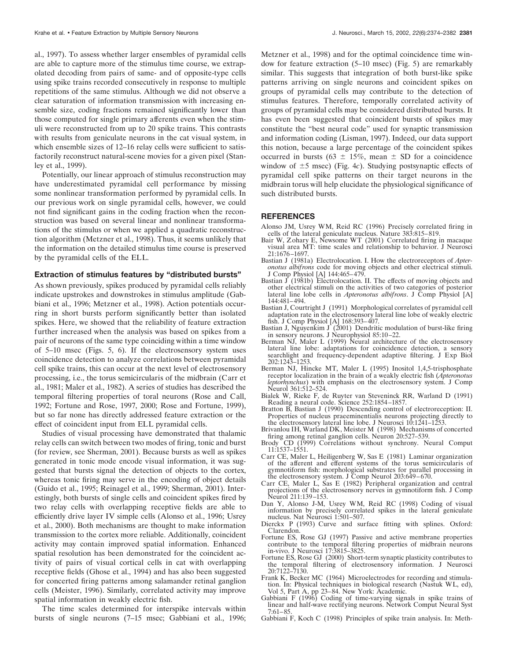al., 1997). To assess whether larger ensembles of pyramidal cells are able to capture more of the stimulus time course, we extrapolated decoding from pairs of same- and of opposite-type cells using spike trains recorded consecutively in response to multiple repetitions of the same stimulus. Although we did not observe a clear saturation of information transmission with increasing ensemble size, coding fractions remained significantly lower than those computed for single primary afferents even when the stimuli were reconstructed from up to 20 spike trains. This contrasts with results from geniculate neurons in the cat visual system, in which ensemble sizes of 12–16 relay cells were sufficient to satisfactorily reconstruct natural-scene movies for a given pixel (Stanley et al., 1999).

Potentially, our linear approach of stimulus reconstruction may have underestimated pyramidal cell performance by missing some nonlinear transformation performed by pyramidal cells. In our previous work on single pyramidal cells, however, we could not find significant gains in the coding fraction when the reconstruction was based on several linear and nonlinear transformations of the stimulus or when we applied a quadratic reconstruction algorithm (Metzner et al., 1998). Thus, it seems unlikely that the information on the detailed stimulus time course is preserved by the pyramidal cells of the ELL.

#### **Extraction of stimulus features by "distributed bursts"**

As shown previously, spikes produced by pyramidal cells reliably indicate upstrokes and downstrokes in stimulus amplitude (Gabbiani et al., 1996; Metzner et al., 1998). Action potentials occurring in short bursts perform significantly better than isolated spikes. Here, we showed that the reliability of feature extraction further increased when the analysis was based on spikes from a pair of neurons of the same type coinciding within a time window of 5–10 msec (Figs. 5, 6). If the electrosensory system uses coincidence detection to analyze correlations between pyramidal cell spike trains, this can occur at the next level of electrosensory processing, i.e., the torus semicircularis of the midbrain (Carr et al., 1981; Maler et al., 1982). A series of studies has described the temporal filtering properties of toral neurons (Rose and Call, 1992; Fortune and Rose, 1997, 2000; Rose and Fortune, 1999), but so far none has directly addressed feature extraction or the effect of coincident input from ELL pyramidal cells.

Studies of visual processing have demonstrated that thalamic relay cells can switch between two modes of firing, tonic and burst (for review, see Sherman, 2001). Because bursts as well as spikes generated in tonic mode encode visual information, it was suggested that bursts signal the detection of objects to the cortex, whereas tonic firing may serve in the encoding of object details (Guido et al., 1995; Reinagel et al., 1999; Sherman, 2001). Interestingly, both bursts of single cells and coincident spikes fired by two relay cells with overlapping receptive fields are able to efficiently drive layer IV simple cells (Alonso et al., 1996; Usrey et al., 2000). Both mechanisms are thought to make information transmission to the cortex more reliable. Additionally, coincident activity may contain improved spatial information. Enhanced spatial resolution has been demonstrated for the coincident activity of pairs of visual cortical cells in cat with overlapping receptive fields (Ghose et al., 1994) and has also been suggested for concerted firing patterns among salamander retinal ganglion cells (Meister, 1996). Similarly, correlated activity may improve spatial information in weakly electric fish.

The time scales determined for interspike intervals within bursts of single neurons (7–15 msec; Gabbiani et al., 1996;

Metzner et al., 1998) and for the optimal coincidence time window for feature extraction (5–10 msec) (Fig. 5) are remarkably similar. This suggests that integration of both burst-like spike patterns arriving on single neurons and coincident spikes on groups of pyramidal cells may contribute to the detection of stimulus features. Therefore, temporally correlated activity of groups of pyramidal cells may be considered distributed bursts. It has even been suggested that coincident bursts of spikes may constitute the "best neural code" used for synaptic transmission and information coding (Lisman, 1997). Indeed, our data support this notion, because a large percentage of the coincident spikes occurred in bursts (63  $\pm$  15%, mean  $\pm$  SD for a coincidence window of  $\pm$ 5 msec) (Fig. 4*c*). Studying postsynaptic effects of pyramidal cell spike patterns on their target neurons in the midbrain torus will help elucidate the physiological significance of such distributed bursts.

#### **REFERENCES**

- Alonso JM, Usrey WM, Reid RC (1996) Precisely correlated firing in cells of the lateral geniculate nucleus. Nature 383:815–819.
- Bair W, Zohary E, Newsome WT (2001) Correlated firing in macaque visual area MT: time scales and relationship to behavior. J Neurosci 21:1676–1697.
- Bastian J (1981a) Electrolocation. I. How the electroreceptors of *Apteronotus albifrons* code for moving objects and other electrical stimuli. J Comp Physiol [A] 144:465–479.
- Bastian  $J(1981b)$  Electrolocation. II. The effects of moving objects and other electrical stimuli on the activities of two categories of posterior lateral line lobe cells in *Apteronotus albifrons*. J Comp Physiol [A] 144:481–494.
- Bastian J, Courtright J (1991) Morphological correlates of pyramidal cell adaptation rate in the electrosensory lateral line lobe of weakly electric fish. J Comp Physiol [A] 168:393-407.
- Bastian J, Nguyenkim J  $(2001)$  Dendritic modulation of burst-like firing in sensory neurons. J Neurophysiol 85:10–22.
- Berman NJ, Maler L (1999) Neural architecture of the electrosensory lateral line lobe: adaptations for coincidence detection, a sensory searchlight and frequency-dependent adaptive filtering. J Exp Biol 202:1243–1253.
- Berman NJ, Hincke MT, Maler L (1995) Inositol 1,4,5-trisphosphate receptor localization in the brain of a weakly electric fish (*Apteronotus leptorhynchus*) with emphasis on the electrosensory system. J Comp Neurol 361:512–524.
- Bialek W, Rieke F, de Ruyter van Steveninck RR, Warland D (1991) Reading a neural code. Science 252:1854–1857.
- Bratton B, Bastian J (1990) Descending control of electroreception: II. Properties of nucleus praeeminentialis neurons projecting directly to the electrosensory lateral line lobe. J Neurosci 10:1241-1253
- Brivanlou IH, Warland DK, Meister M (1998) Mechanisms of concerted firing among retinal ganglion cells. Neuron 20:527–539.
- Brody CD (1999) Correlations without synchrony. Neural Comput 11:1537–1551.
- Carr CE, Maler L, Heiligenberg W, Sas E (1981) Laminar organization of the afferent and efferent systems of the torus semicircularis of gymnotiform fish: morphological substrates for parallel processing in the electrosensory system. J Comp Neurol 203:649–670.
- Carr CE, Maler L, Sas E (1982) Peripheral organization and central projections of the electrosensory nerves in gymnotiform fish. J Comp Neurol 211:139–153.
- Dan Y, Alonso J-M, Usrey WM, Reid RC (1998) Coding of visual information by precisely correlated spikes in the lateral geniculate nucleus. Nat Neurosci 1:501–507.
- Dierckx P (1993) Curve and surface fitting with splines. Oxford: Clarendon.
- Fortune ES, Rose GJ (1997) Passive and active membrane properties contribute to the temporal filtering properties of midbrain neurons in-vivo. J Neurosci 17:3815–3825.
- Fortune ES, Rose GJ (2000) Short-term synaptic plasticity contributes to the temporal filtering of electrosensory information. J Neurosci 20:7122–7130.
- Frank K, Becker MC (1964) Microelectrodes for recording and stimulation. In: Physical techniques in biological research (Nastuk WL, ed), Vol 5, Part A, pp 23–84. New York: Academic.
- Gabbiani F (1996) Coding of time-varying signals in spike trains of linear and half-wave rectifying neurons. Network Comput Neural Syst 7:61–85.
- Gabbiani F, Koch C (1998) Principles of spike train analysis. In: Meth-